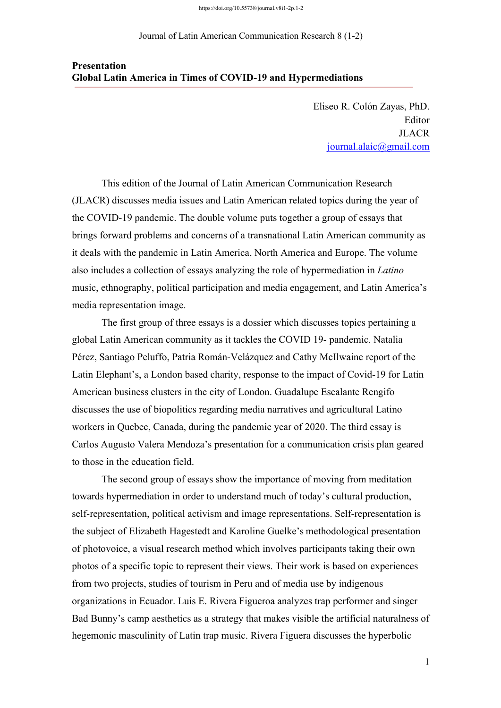https://doi.org/10.55738/journal.v8i1-2p.1-2

Journal of Latin American Communication Research 8 (1-2)

## **Presentation Global Latin America in Times of COVID-19 and Hypermediations**

Eliseo R. Colón Zayas, PhD. Editor JLACR journal.alaic@gmail.com

This edition of the Journal of Latin American Communication Research (JLACR) discusses media issues and Latin American related topics during the year of the COVID-19 pandemic. The double volume puts together a group of essays that brings forward problems and concerns of a transnational Latin American community as it deals with the pandemic in Latin America, North America and Europe. The volume also includes a collection of essays analyzing the role of hypermediation in *Latino* music, ethnography, political participation and media engagement, and Latin America's media representation image.

The first group of three essays is a dossier which discusses topics pertaining a global Latin American community as it tackles the COVID 19- pandemic. Natalia Pérez, Santiago Peluffo, Patria Román-Velázquez and Cathy McIlwaine report of the Latin Elephant's, a London based charity, response to the impact of Covid-19 for Latin American business clusters in the city of London. Guadalupe Escalante Rengifo discusses the use of biopolitics regarding media narratives and agricultural Latino workers in Quebec, Canada, during the pandemic year of 2020. The third essay is Carlos Augusto Valera Mendoza's presentation for a communication crisis plan geared to those in the education field.

The second group of essays show the importance of moving from meditation towards hypermediation in order to understand much of today's cultural production, self-representation, political activism and image representations. Self-representation is the subject of Elizabeth Hagestedt and Karoline Guelke's methodological presentation of photovoice, a visual research method which involves participants taking their own photos of a specific topic to represent their views. Their work is based on experiences from two projects, studies of tourism in Peru and of media use by indigenous organizations in Ecuador. Luis E. Rivera Figueroa analyzes trap performer and singer Bad Bunny's camp aesthetics as a strategy that makes visible the artificial naturalness of hegemonic masculinity of Latin trap music. Rivera Figuera discusses the hyperbolic